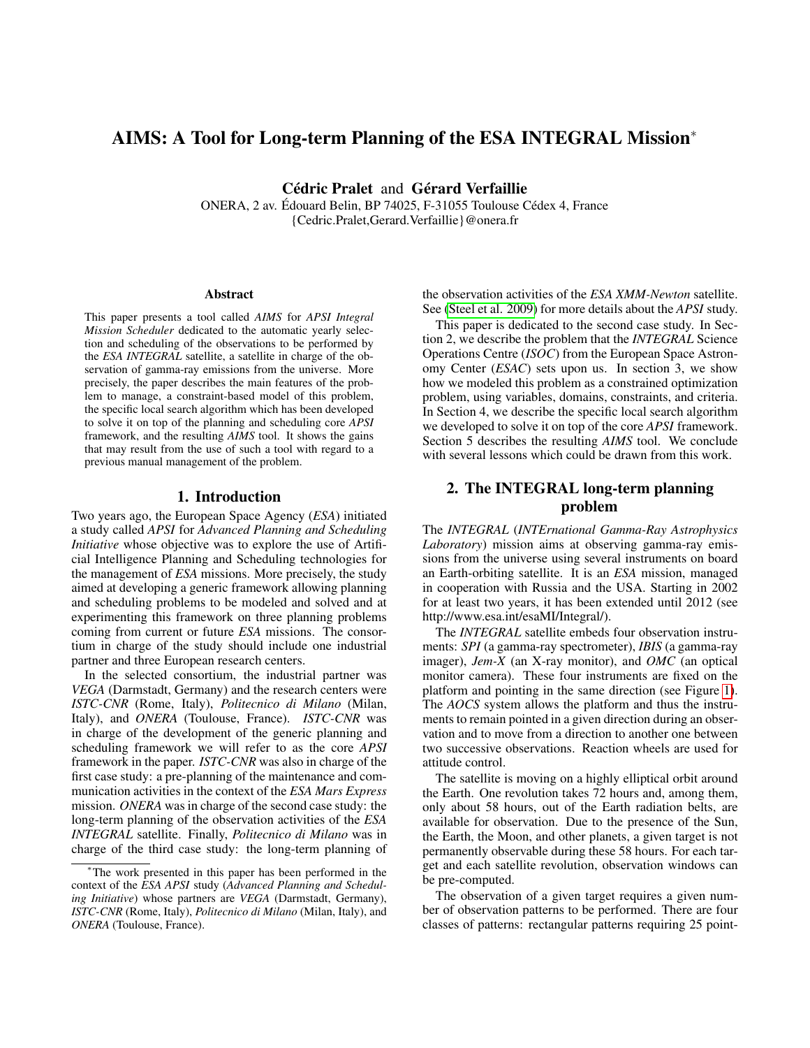# AIMS: A Tool for Long-term Planning of the ESA INTEGRAL Mission<sup>∗</sup>

Cédric Pralet and Gérard Verfaillie

ONERA, 2 av. Édouard Belin, BP 74025, F-31055 Toulouse Cédex 4, France {Cedric.Pralet,Gerard.Verfaillie}@onera.fr

#### **Abstract**

This paper presents a tool called *AIMS* for *APSI Integral Mission Scheduler* dedicated to the automatic yearly selection and scheduling of the observations to be performed by the *ESA INTEGRAL* satellite, a satellite in charge of the observation of gamma-ray emissions from the universe. More precisely, the paper describes the main features of the problem to manage, a constraint-based model of this problem, the specific local search algorithm which has been developed to solve it on top of the planning and scheduling core *APSI* framework, and the resulting *AIMS* tool. It shows the gains that may result from the use of such a tool with regard to a previous manual management of the problem.

### 1. Introduction

Two years ago, the European Space Agency (*ESA*) initiated a study called *APSI* for *Advanced Planning and Scheduling Initiative* whose objective was to explore the use of Artificial Intelligence Planning and Scheduling technologies for the management of *ESA* missions. More precisely, the study aimed at developing a generic framework allowing planning and scheduling problems to be modeled and solved and at experimenting this framework on three planning problems coming from current or future *ESA* missions. The consortium in charge of the study should include one industrial partner and three European research centers.

In the selected consortium, the industrial partner was *VEGA* (Darmstadt, Germany) and the research centers were *ISTC-CNR* (Rome, Italy), *Politecnico di Milano* (Milan, Italy), and *ONERA* (Toulouse, France). *ISTC-CNR* was in charge of the development of the generic planning and scheduling framework we will refer to as the core *APSI* framework in the paper. *ISTC-CNR* was also in charge of the first case study: a pre-planning of the maintenance and communication activities in the context of the *ESA Mars Express* mission. *ONERA* was in charge of the second case study: the long-term planning of the observation activities of the *ESA INTEGRAL* satellite. Finally, *Politecnico di Milano* was in charge of the third case study: the long-term planning of the observation activities of the *ESA XMM-Newton* satellite. See [\(Steel et al. 2009\)](#page-7-0) for more details about the *APSI* study.

This paper is dedicated to the second case study. In Section 2, we describe the problem that the *INTEGRAL* Science Operations Centre (*ISOC*) from the European Space Astronomy Center (*ESAC*) sets upon us. In section 3, we show how we modeled this problem as a constrained optimization problem, using variables, domains, constraints, and criteria. In Section 4, we describe the specific local search algorithm we developed to solve it on top of the core *APSI* framework. Section 5 describes the resulting *AIMS* tool. We conclude with several lessons which could be drawn from this work.

# 2. The INTEGRAL long-term planning problem

The *INTEGRAL* (*INTErnational Gamma-Ray Astrophysics Laboratory*) mission aims at observing gamma-ray emissions from the universe using several instruments on board an Earth-orbiting satellite. It is an *ESA* mission, managed in cooperation with Russia and the USA. Starting in 2002 for at least two years, it has been extended until 2012 (see http://www.esa.int/esaMI/Integral/).

The *INTEGRAL* satellite embeds four observation instruments: *SPI* (a gamma-ray spectrometer), *IBIS* (a gamma-ray imager), *Jem-X* (an X-ray monitor), and *OMC* (an optical monitor camera). These four instruments are fixed on the platform and pointing in the same direction (see Figure [1\)](#page-1-0). The *AOCS* system allows the platform and thus the instruments to remain pointed in a given direction during an observation and to move from a direction to another one between two successive observations. Reaction wheels are used for attitude control.

The satellite is moving on a highly elliptical orbit around the Earth. One revolution takes 72 hours and, among them, only about 58 hours, out of the Earth radiation belts, are available for observation. Due to the presence of the Sun, the Earth, the Moon, and other planets, a given target is not permanently observable during these 58 hours. For each target and each satellite revolution, observation windows can be pre-computed.

The observation of a given target requires a given number of observation patterns to be performed. There are four classes of patterns: rectangular patterns requiring 25 point-

<sup>∗</sup>The work presented in this paper has been performed in the context of the *ESA APSI* study (*Advanced Planning and Scheduling Initiative*) whose partners are *VEGA* (Darmstadt, Germany), *ISTC-CNR* (Rome, Italy), *Politecnico di Milano* (Milan, Italy), and *ONERA* (Toulouse, France).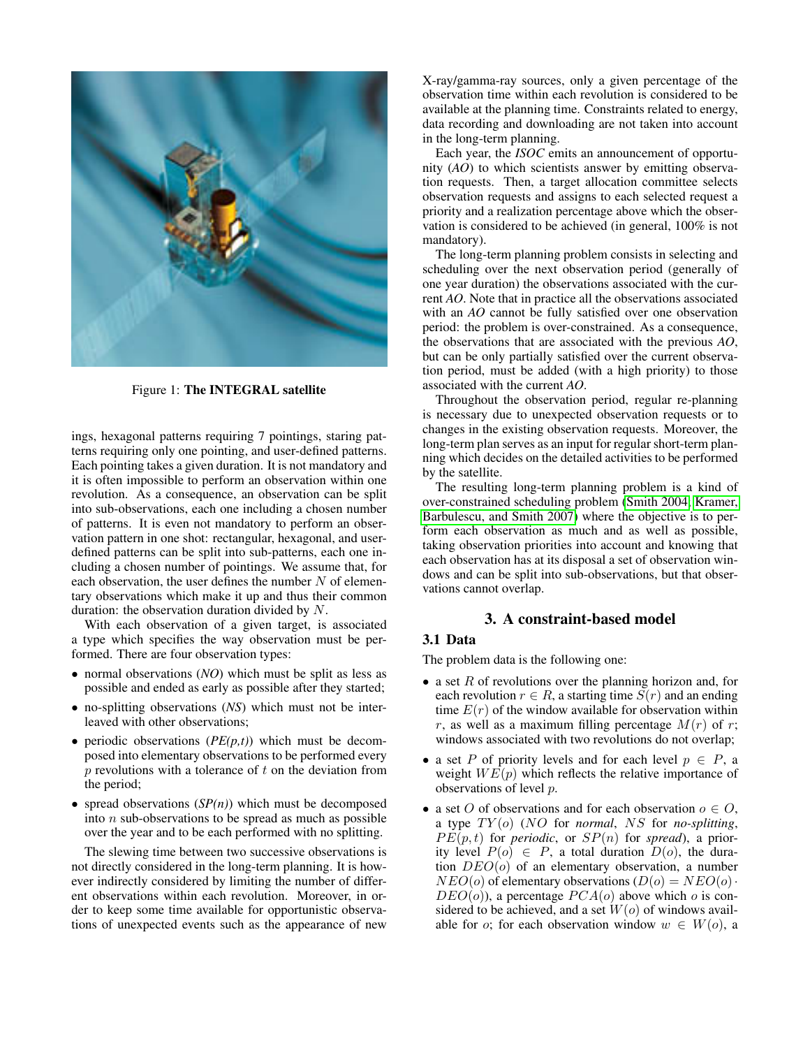

Figure 1: The INTEGRAL satellite

<span id="page-1-0"></span>ings, hexagonal patterns requiring 7 pointings, staring patterns requiring only one pointing, and user-defined patterns. Each pointing takes a given duration. It is not mandatory and it is often impossible to perform an observation within one revolution. As a consequence, an observation can be split into sub-observations, each one including a chosen number of patterns. It is even not mandatory to perform an observation pattern in one shot: rectangular, hexagonal, and userdefined patterns can be split into sub-patterns, each one including a chosen number of pointings. We assume that, for each observation, the user defines the number  $N$  of elementary observations which make it up and thus their common duration: the observation duration divided by N.

With each observation of a given target, is associated a type which specifies the way observation must be performed. There are four observation types:

- normal observations (*NO*) which must be split as less as possible and ended as early as possible after they started;
- no-splitting observations (*NS*) which must not be interleaved with other observations;
- periodic observations (*PE(p,t)*) which must be decomposed into elementary observations to be performed every  $p$  revolutions with a tolerance of  $t$  on the deviation from the period;
- spread observations  $(SP(n))$  which must be decomposed into  $n$  sub-observations to be spread as much as possible over the year and to be each performed with no splitting.

The slewing time between two successive observations is not directly considered in the long-term planning. It is however indirectly considered by limiting the number of different observations within each revolution. Moreover, in order to keep some time available for opportunistic observations of unexpected events such as the appearance of new X-ray/gamma-ray sources, only a given percentage of the observation time within each revolution is considered to be available at the planning time. Constraints related to energy, data recording and downloading are not taken into account in the long-term planning.

Each year, the *ISOC* emits an announcement of opportunity (*AO*) to which scientists answer by emitting observation requests. Then, a target allocation committee selects observation requests and assigns to each selected request a priority and a realization percentage above which the observation is considered to be achieved (in general, 100% is not mandatory).

The long-term planning problem consists in selecting and scheduling over the next observation period (generally of one year duration) the observations associated with the current *AO*. Note that in practice all the observations associated with an *AO* cannot be fully satisfied over one observation period: the problem is over-constrained. As a consequence, the observations that are associated with the previous *AO*, but can be only partially satisfied over the current observation period, must be added (with a high priority) to those associated with the current *AO*.

Throughout the observation period, regular re-planning is necessary due to unexpected observation requests or to changes in the existing observation requests. Moreover, the long-term plan serves as an input for regular short-term planning which decides on the detailed activities to be performed by the satellite.

The resulting long-term planning problem is a kind of over-constrained scheduling problem [\(Smith 2004;](#page-7-1) [Kramer,](#page-7-2) [Barbulescu, and Smith 2007\)](#page-7-2) where the objective is to perform each observation as much and as well as possible, taking observation priorities into account and knowing that each observation has at its disposal a set of observation windows and can be split into sub-observations, but that observations cannot overlap.

# 3. A constraint-based model

# 3.1 Data

The problem data is the following one:

- a set  $R$  of revolutions over the planning horizon and, for each revolution  $r \in R$ , a starting time  $S(r)$  and an ending time  $E(r)$  of the window available for observation within r, as well as a maximum filling percentage  $M(r)$  of r; windows associated with two revolutions do not overlap;
- a set P of priority levels and for each level  $p \in P$ , a weight  $WE(p)$  which reflects the relative importance of observations of level p.
- a set O of observations and for each observation  $o \in O$ , a type  $TY$ (o) (NO for *normal*, NS for *no-splitting*,  $PE(p, t)$  for *periodic*, or  $SP(n)$  for *spread*), a priority level  $P(o) \in P$ , a total duration  $D(o)$ , the duration  $DEO(o)$  of an elementary observation, a number  $NEO(o)$  of elementary observations  $(D(o) = NEO(o) \cdot$  $DEO(o)$ ), a percentage  $PCA(o)$  above which o is considered to be achieved, and a set  $W(o)$  of windows available for o; for each observation window  $w \in W(o)$ , a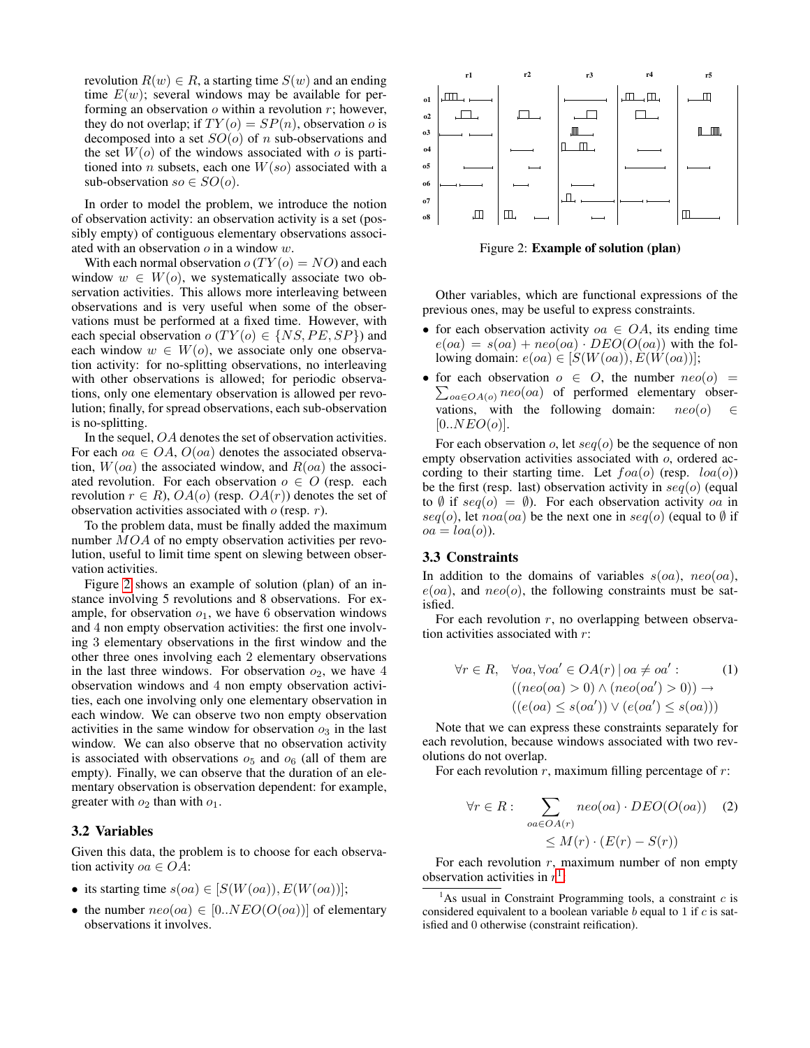revolution  $R(w) \in R$ , a starting time  $S(w)$  and an ending time  $E(w)$ ; several windows may be available for performing an observation  $o$  within a revolution  $r$ ; however, they do not overlap; if  $TY(o) = SP(n)$ , observation o is decomposed into a set  $SO(o)$  of n sub-observations and the set  $W(o)$  of the windows associated with o is partitioned into *n* subsets, each one  $W(so)$  associated with a sub-observation  $so \in SO(o)$ .

In order to model the problem, we introduce the notion of observation activity: an observation activity is a set (possibly empty) of contiguous elementary observations associated with an observation  $o$  in a window  $w$ .

With each normal observation  $o(TY(o) = NO)$  and each window  $w \in W(o)$ , we systematically associate two observation activities. This allows more interleaving between observations and is very useful when some of the observations must be performed at a fixed time. However, with each special observation  $o(TY(o) \in \{NS, PE, SP\})$  and each window  $w \in W(o)$ , we associate only one observation activity: for no-splitting observations, no interleaving with other observations is allowed; for periodic observations, only one elementary observation is allowed per revolution; finally, for spread observations, each sub-observation is no-splitting.

In the sequel, OA denotes the set of observation activities. For each  $oa \in OA$ ,  $O(oa)$  denotes the associated observation,  $W(oa)$  the associated window, and  $R(oa)$  the associated revolution. For each observation  $o \in O$  (resp. each revolution  $r \in R$ ),  $OA(o)$  (resp.  $OA(r)$ ) denotes the set of observation activities associated with  $o$  (resp.  $r$ ).

To the problem data, must be finally added the maximum number MOA of no empty observation activities per revolution, useful to limit time spent on slewing between observation activities.

Figure [2](#page-2-0) shows an example of solution (plan) of an instance involving 5 revolutions and 8 observations. For example, for observation  $o_1$ , we have 6 observation windows and 4 non empty observation activities: the first one involving 3 elementary observations in the first window and the other three ones involving each 2 elementary observations in the last three windows. For observation  $o_2$ , we have 4 observation windows and 4 non empty observation activities, each one involving only one elementary observation in each window. We can observe two non empty observation activities in the same window for observation  $o_3$  in the last window. We can also observe that no observation activity is associated with observations  $o_5$  and  $o_6$  (all of them are empty). Finally, we can observe that the duration of an elementary observation is observation dependent: for example, greater with  $o_2$  than with  $o_1$ .

### 3.2 Variables

Given this data, the problem is to choose for each observation activity  $oa \in OA$ :

- its starting time  $s(oa) \in [S(W(oa)), E(W(oa))];$
- the number  $neo(oa) \in [0..NEO(O(oa))]$  of elementary observations it involves.



<span id="page-2-0"></span>Figure 2: Example of solution (plan)

Other variables, which are functional expressions of the previous ones, may be useful to express constraints.

- for each observation activity  $oa \in OA$ , its ending time  $e(oa) = s(oa) + neo(oa) \cdot DEO(O(oa))$  with the following domain:  $e(oa) \in [S(W(oa)), E(W(oa))]$ ;
- for each observation  $o \in O$ , the number  $neo(o)$  =  $\sum_{oa \in OA(o)} neo(oa)$  of performed elementary observations, with the following domain:  $neo(o) \in$  $[0..NEO(o)].$

For each observation o, let  $seq(o)$  be the sequence of non empty observation activities associated with  $\overline{o}$ , ordered according to their starting time. Let  $foa(o)$  (resp.  $loa(o)$ ) be the first (resp. last) observation activity in  $seq(o)$  (equal to  $\emptyset$  if  $seq(o) = \emptyset$ ). For each observation activity oa in seq(o), let noa(oa) be the next one in seq(o) (equal to  $\emptyset$  if  $oa = loa(o)$ ).

#### 3.3 Constraints

In addition to the domains of variables  $s(oa)$ ,  $neo(oa)$ ,  $e(oa)$ , and  $neo(o)$ , the following constraints must be satisfied.

For each revolution  $r$ , no overlapping between observation activities associated with r:

$$
\forall r \in R, \quad \forall oa, \forall oa' \in OA(r) \mid oa \neq oa': \quad (1)
$$

$$
((neo(oa) > 0) \land (neo(oa') > 0)) \rightarrow ((e(oa) \le s(oa')) \lor (e(oa') \le s(oa)))
$$

Note that we can express these constraints separately for each revolution, because windows associated with two revolutions do not overlap.

For each revolution  $r$ , maximum filling percentage of  $r$ :

$$
\forall r \in R: \sum_{oa \in OA(r)} neo(oa) \cdot DEO(O(oa)) \quad (2)
$$

$$
\leq M(r) \cdot (E(r) - S(r))
$$

For each revolution  $r$ , maximum number of non empty observation activities in  $r^1$  $r^1$ :

<span id="page-2-1"></span><sup>1</sup>As usual in Constraint Programming tools, a constraint  $c$  is considered equivalent to a boolean variable  $b$  equal to 1 if  $c$  is satisfied and 0 otherwise (constraint reification).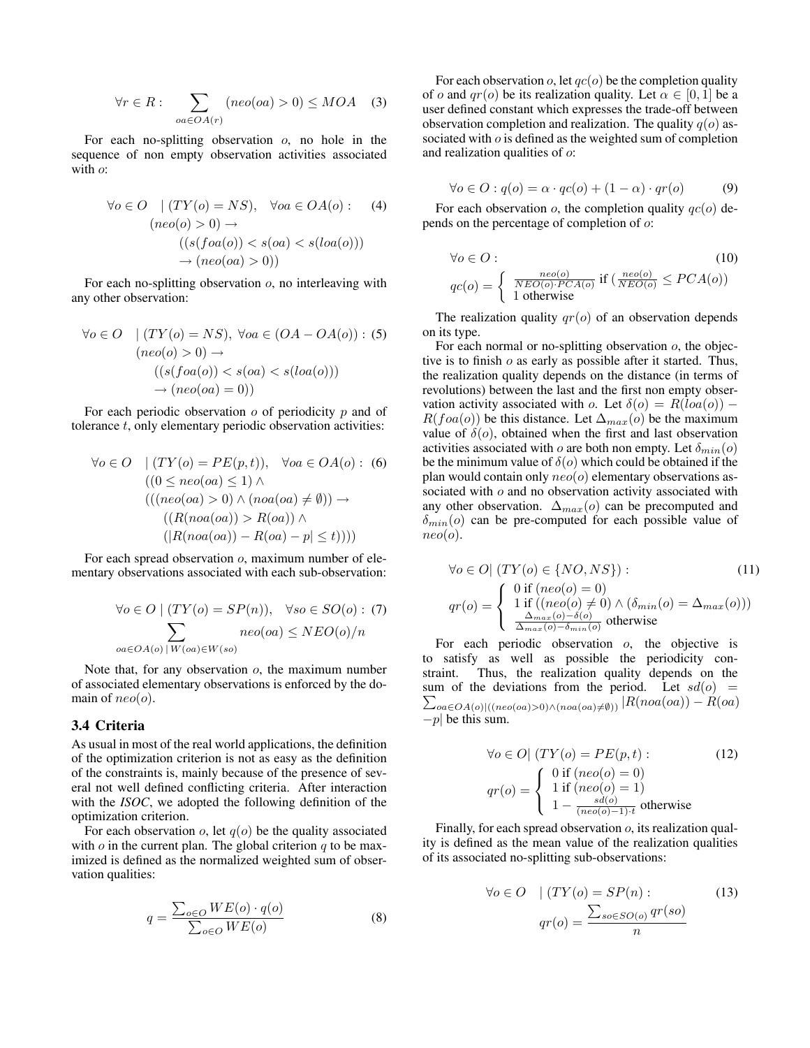$$
\forall r \in R: \sum_{oa \in OA(r)} (neo(oa) > 0) \le MOA \quad (3)
$$

For each no-splitting observation  $o$ , no hole in the sequence of non empty observation activities associated with  $o$ :

$$
\forall o \in O \quad | (TY(o) = NS), \quad \forall oa \in OA(o) : \quad (4)
$$

$$
(neo(o) > 0) \rightarrow \quad ((s(foa(o)) < s(oa) < s(baa(o)))
$$

$$
\rightarrow (neo(oa) > 0))
$$

For each no-splitting observation  $o$ , no interleaving with any other observation:

$$
\forall o \in O \quad | (TY(o) = NS), \ \forall oa \in (OA - OA(o)) : (5)
$$

$$
(neo(o) > 0) \rightarrow ( (s(foa(o)) < s(oa) < s(loa(o)))
$$

$$
\rightarrow (neo(oa) = 0))
$$

For each periodic observation  $\rho$  of periodicity  $p$  and of tolerance t, only elementary periodic observation activities:

$$
\forall o \in O \quad | (TY(o) = PE(p, t)), \quad \forall oa \in OA(o) : (6)
$$
  

$$
((0 \leq neo(oa) \leq 1) \land
$$
  

$$
(((neo(oa) > 0) \land (noa(oa) \neq \emptyset)) \rightarrow
$$
  

$$
((R(noa(oa)) > R(oa)) \land
$$
  

$$
(|R(noa(oa)) - R(oa) - p| \leq t))))
$$

For each spread observation o, maximum number of elementary observations associated with each sub-observation:

$$
\forall o \in O \mid (TY(o) = SP(n)), \quad \forall so \in SO(o) : (7)
$$

$$
\sum_{oa \in OA(o) \mid W(oa) \in W(so)} \text{neo}(oa) \leq NEO(o)/n
$$

Note that, for any observation  $o$ , the maximum number of associated elementary observations is enforced by the domain of  $neo(o)$ .

#### 3.4 Criteria

As usual in most of the real world applications, the definition of the optimization criterion is not as easy as the definition of the constraints is, mainly because of the presence of several not well defined conflicting criteria. After interaction with the *ISOC*, we adopted the following definition of the optimization criterion.

For each observation  $o$ , let  $q(o)$  be the quality associated with  $o$  in the current plan. The global criterion  $q$  to be maximized is defined as the normalized weighted sum of observation qualities:

$$
q = \frac{\sum_{o \in O} WE(o) \cdot q(o)}{\sum_{o \in O} WE(o)} \tag{8}
$$

For each observation  $o$ , let  $qc(o)$  be the completion quality of o and  $qr(o)$  be its realization quality. Let  $\alpha \in [0, 1]$  be a user defined constant which expresses the trade-off between observation completion and realization. The quality  $q(o)$  associated with *o* is defined as the weighted sum of completion and realization qualities of o:

$$
\forall o \in O : q(o) = \alpha \cdot qc(o) + (1 - \alpha) \cdot qr(o) \tag{9}
$$

For each observation  $o$ , the completion quality  $qc(o)$  depends on the percentage of completion of o:

$$
\forall o \in O: \tag{10}
$$
\n
$$
qc(o) = \left\{ \begin{array}{l} \frac{neo(o)}{NEO(o) \cdot PCA(o)} \text{ if } \left( \frac{neo(o)}{NEO(o)} \le PCA(o) \right) \\ 1 \text{ otherwise} \end{array} \right.
$$

The realization quality  $qr(o)$  of an observation depends on its type.

For each normal or no-splitting observation o, the objective is to finish  $o$  as early as possible after it started. Thus, the realization quality depends on the distance (in terms of revolutions) between the last and the first non empty observation activity associated with o. Let  $\delta(o) = R(loa(o))$  –  $R(foa(o))$  be this distance. Let  $\Delta_{max}(o)$  be the maximum value of  $\delta$ (*o*), obtained when the first and last observation activities associated with o are both non empty. Let  $\delta_{min}(o)$ be the minimum value of  $\delta$ (*o*) which could be obtained if the plan would contain only  $neo(o)$  elementary observations associated with  $o$  and no observation activity associated with any other observation.  $\Delta_{max}(o)$  can be precomputed and  $\delta_{min}(o)$  can be pre-computed for each possible value of  $neo(o).$ 

$$
\forall o \in O \mid (TY(o) \in \{NO, NS\}) : \tag{11}
$$
\n
$$
qr(o) = \begin{cases} 0 \text{ if } (neo(o) = 0) \\ 1 \text{ if } ((neo(o) \neq 0) \land (\delta_{min}(o) = \Delta_{max}(o))) \\ \frac{\Delta_{max}(o) - \delta(o)}{\Delta_{max}(o) - \delta_{min}(o)} \text{ otherwise} \end{cases}
$$

For each periodic observation  $o$ , the objective is to satisfy as well as possible the periodicity constraint. Thus, the realization quality depends on the sum of the deviations from the period. Let  $sd(o)$  =  $\sum_{oa \in OA(o)|((neo(oa) > 0) \land (noa(oa) \neq \emptyset))} |R(noa(oa)) - R(oa)$  $-p$ | be this sum.

$$
\forall o \in O \mid (TY(o) = PE(p, t) : \tag{12}
$$
\n
$$
qr(o) = \begin{cases} 0 \text{ if } (neo(o) = 0) \\ 1 \text{ if } (neo(o) = 1) \\ 1 - \frac{sd(o)}{(neo(o) - 1) \cdot t} \text{ otherwise} \end{cases}
$$

Finally, for each spread observation  $o$ , its realization quality is defined as the mean value of the realization qualities of its associated no-splitting sub-observations:

$$
\forall o \in O \quad | \left( TY(o) = SP(n) : \right. \tag{13}
$$
\n
$$
qr(o) = \frac{\sum_{so \in SO(o)} qr(so)}{n}
$$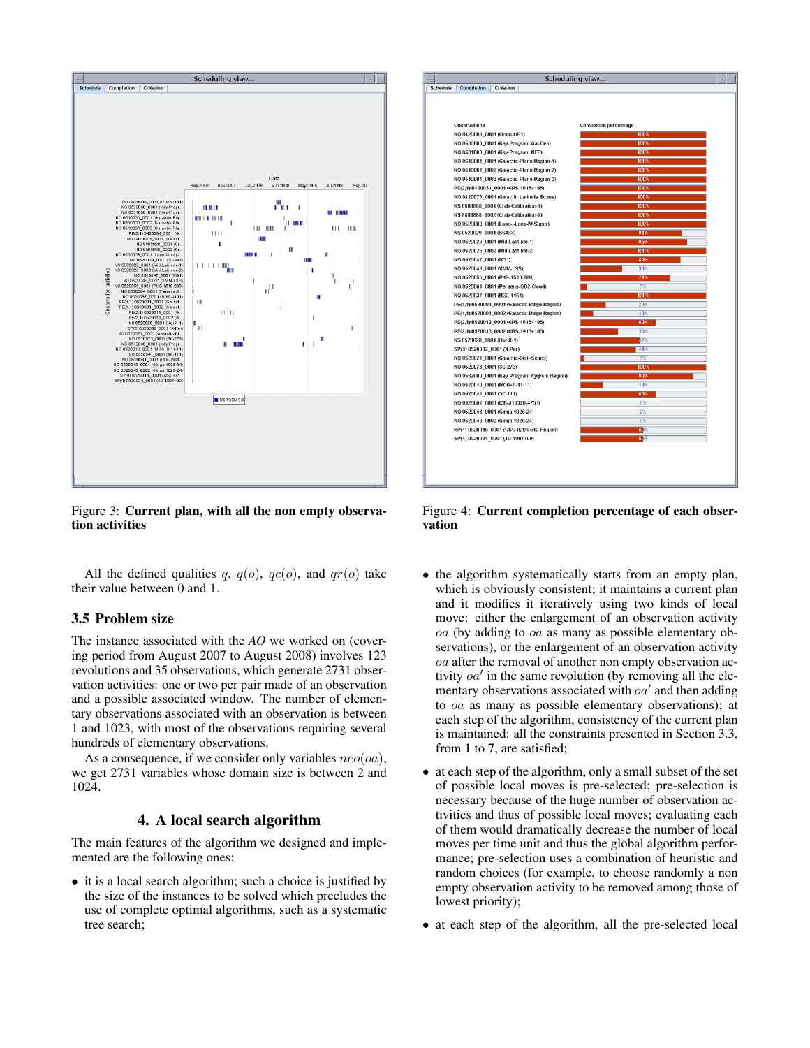

<span id="page-4-0"></span>Figure 3: Current plan, with all the non empty observation activities

All the defined qualities q,  $q(o)$ ,  $qc(o)$ , and  $qr(o)$  take their value between 0 and 1.

# 3.5 Problem size

The instance associated with the *AO* we worked on (covering period from August 2007 to August 2008) involves 123 revolutions and 35 observations, which generate 2731 observation activities: one or two per pair made of an observation and a possible associated window. The number of elementary observations associated with an observation is between 1 and 1023, with most of the observations requiring several hundreds of elementary observations.

As a consequence, if we consider only variables  $neo(oa)$ , we get 2731 variables whose domain size is between 2 and 1024.

## 4. A local search algorithm

The main features of the algorithm we designed and implemented are the following ones:

• it is a local search algorithm; such a choice is justified by the size of the instances to be solved which precludes the use of complete optimal algorithms, such as a systematic tree search;



<span id="page-4-1"></span>Figure 4: Current completion percentage of each observation

- the algorithm systematically starts from an empty plan, which is obviously consistent; it maintains a current plan and it modifies it iteratively using two kinds of local move: either the enlargement of an observation activity oa (by adding to oa as many as possible elementary observations), or the enlargement of an observation activity oa after the removal of another non empty observation activity  $oa'$  in the same revolution (by removing all the elementary observations associated with  $oa'$  and then adding to oa as many as possible elementary observations); at each step of the algorithm, consistency of the current plan is maintained: all the constraints presented in Section 3.3, from 1 to 7, are satisfied;
- at each step of the algorithm, only a small subset of the set of possible local moves is pre-selected; pre-selection is necessary because of the huge number of observation activities and thus of possible local moves; evaluating each of them would dramatically decrease the number of local moves per time unit and thus the global algorithm performance; pre-selection uses a combination of heuristic and random choices (for example, to choose randomly a non empty observation activity to be removed among those of lowest priority);
- at each step of the algorithm, all the pre-selected local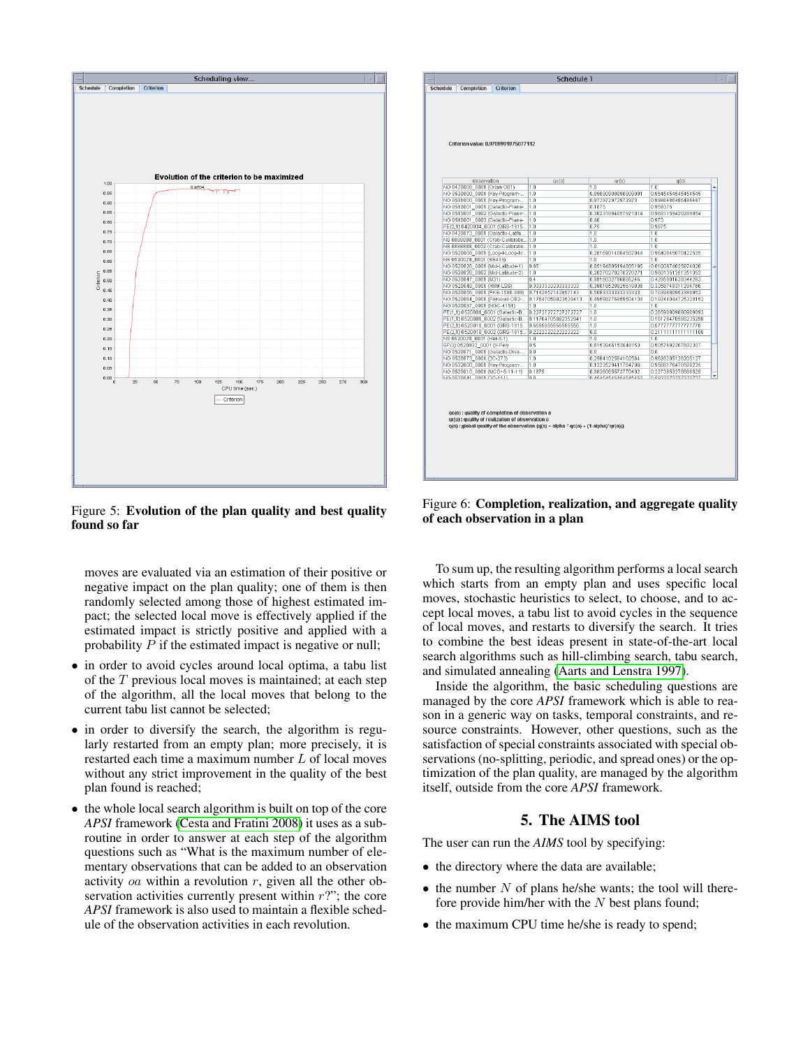

<span id="page-5-0"></span>Figure 5: Evolution of the plan quality and best quality found so far

moves are evaluated via an estimation of their positive or negative impact on the plan quality; one of them is then randomly selected among those of highest estimated impact; the selected local move is effectively applied if the estimated impact is strictly positive and applied with a probability  $P$  if the estimated impact is negative or null;

- in order to avoid cycles around local optima, a tabu list of the T previous local moves is maintained; at each step of the algorithm, all the local moves that belong to the current tabu list cannot be selected;
- in order to diversify the search, the algorithm is regularly restarted from an empty plan; more precisely, it is restarted each time a maximum number L of local moves without any strict improvement in the quality of the best plan found is reached;
- the whole local search algorithm is built on top of the core *APSI* framework [\(Cesta and Fratini 2008\)](#page-7-3) it uses as a subroutine in order to answer at each step of the algorithm questions such as "What is the maximum number of elementary observations that can be added to an observation activity *oa* within a revolution  $r$ , given all the other observation activities currently present within  $r$ ?"; the core *APSI* framework is also used to maintain a flexible schedule of the observation activities in each revolution.

|                                                    | Criterion value: 0.9709991975077112 |                                           |                                          |  |
|----------------------------------------------------|-------------------------------------|-------------------------------------------|------------------------------------------|--|
|                                                    |                                     |                                           |                                          |  |
| observation                                        |                                     |                                           |                                          |  |
| NO 0420008_0001 (Orion-OB1)                        | qc(0)<br>1.0                        | qr(0)<br>1.0                              | q(0)<br>1.0                              |  |
| NO 0530000_0001 (Key-Program-                      | 1 N                                 | 0.09090909090909091                       | 0.9545454545454545                       |  |
| NO 0531000_0001 (Key-Program-                      | 1.0                                 | 0.972972972972973                         | 0.9986486486486487                       |  |
| NO 0510001 0001 (Galactic-Plane-                   | 1.0                                 | 0.1875                                    | 0.959375                                 |  |
| NO 0510001 0002 (Galactic-Plane-                   | 1.0                                 | 0.36231884057971014                       | 0.9681159420289854                       |  |
| NO 0510001 0003 (Galactic-Plane  1.0               |                                     | 0.46                                      | 0.973                                    |  |
| PE(2,1) 0420034 0001 (GRS-1915                     | 1.0                                 | 0.75                                      | 0.9875                                   |  |
| NO 0420073 0001 (Galactic-Latitu                   | 1.0                                 | 1.0                                       | 1.0                                      |  |
| NS 8888888_0001 (Crab-Calibratio                   | 1.0                                 | 1.0                                       | 1.0                                      |  |
| NS 8888888 0002 (Crab-Calibratio                   | 1.0                                 | 1.0                                       | 1.0                                      |  |
| NO 0520008 0001 (Loop-I-Loop-IV                    | 1.0                                 | 0.28169014084507044                       | 0.9640845070422535                       |  |
| NS 0520029 0001 (SS433)                            | 1.0                                 | 1.0                                       | 1.0                                      |  |
| NO 0520026 0001 (Mid-Latitude-1)                   | 0.85                                | 0.05194805194805195                       | 0.8100974025974026                       |  |
| NO 0520026 0002 (Mid-Latitude-2)                   | 1.0<br>0.4                          | 0.20270270270270271                       | 0.9601351351351352                       |  |
| NO 0520047 0001 (M31)<br>NO 0520048_0001 (XMM-LSS) | 0.3333333333333333                  | 0.9918032786885246<br>0.38016528925619836 | 0.4295901639344263<br>0.3356749311294766 |  |
| NO 0520056 0001 (PKS-1510-089)                     | 0.7142857142857143                  | 0.5083333333333333                        | 0.7039880952380952                       |  |
| NO 0520064 0001 (Perseus-OB2-                      | 0.17647058823529413                 | 0.49586776859504134                       | 0.19244044725328152                      |  |
| NO 0520037_0001 (NGC-4151)                         | 1.0                                 | 1.0                                       | 1.0                                      |  |
| PE(1,1) 0520001_0001 (Galactic-B                   | 0.22727272727272727                 | 1.0                                       | 0.26590909090909093                      |  |
| PE(1,1) 0520001 0002 (Galactic-B                   | 0.11764705882352941                 | 1.0                                       | 0.16176470588235298                      |  |
| PE(2.1) 0520018 0001 (GRS-1915                     | 0.555555555555556                   | 1.0                                       | 0.577777777777778                        |  |
| PE(2,1) 0520018_0002 (GRS-1915                     | 0.2222222222222222                  | 0.0                                       | 0.2111111111111108                       |  |
| NS 0520028 0001 (Her-X-1)                          | 1.0                                 | 1.0                                       | 1.0                                      |  |
| SP(3) 0520032 0001 (X-Per)                         | 0.5                                 | 0.6153846153846153                        | 0.5057692307692307                       |  |
| NO 0520071 0001 (Galactic-Disk-                    | 0.0                                 | 0.0                                       | 0.0                                      |  |
| NO 0520073_0001 (3C-273)                           | 1.0                                 | 0.2564102564102564                        | 0.9628205128205127                       |  |
| NO 0532000 0001 (Key-Program-                      | 1.0                                 | 0.1323529411764706                        | 0.9566176470588235                       |  |
| NO 0520010 0001 (MCG+8-11-11)                      | 0.1875                              | 0.9836065573770492                        | 0.2273053278688525                       |  |
| NO 0520044 0004 /30-4445                           | n s                                 | 0.45454545454545453                       | 0.5007070707070707                       |  |

<span id="page-5-1"></span>Figure 6: Completion, realization, and aggregate quality of each observation in a plan

To sum up, the resulting algorithm performs a local search which starts from an empty plan and uses specific local moves, stochastic heuristics to select, to choose, and to accept local moves, a tabu list to avoid cycles in the sequence of local moves, and restarts to diversify the search. It tries to combine the best ideas present in state-of-the-art local search algorithms such as hill-climbing search, tabu search, and simulated annealing [\(Aarts and Lenstra 1997\)](#page-7-4).

Inside the algorithm, the basic scheduling questions are managed by the core *APSI* framework which is able to reason in a generic way on tasks, temporal constraints, and resource constraints. However, other questions, such as the satisfaction of special constraints associated with special observations (no-splitting, periodic, and spread ones) or the optimization of the plan quality, are managed by the algorithm itself, outside from the core *APSI* framework.

# 5. The AIMS tool

The user can run the *AIMS* tool by specifying:

- the directory where the data are available;
- $\bullet$  the number N of plans he/she wants; the tool will therefore provide him/her with the  $N$  best plans found;
- the maximum CPU time he/she is ready to spend;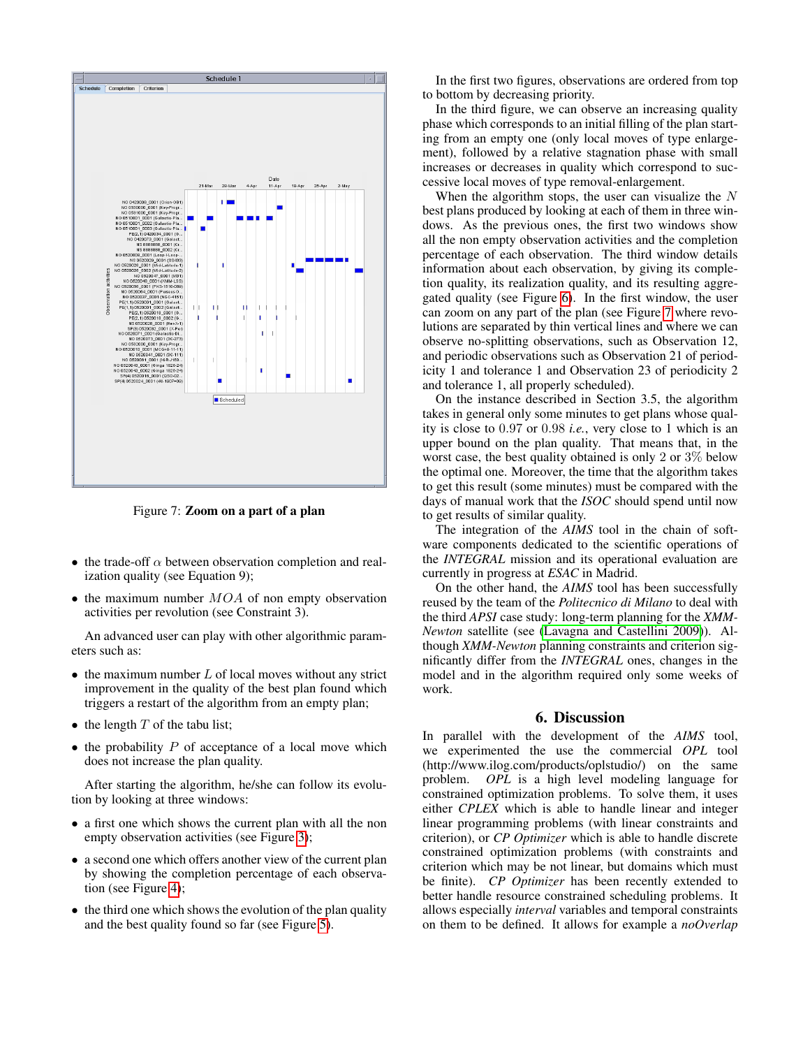

<span id="page-6-0"></span>Figure 7: Zoom on a part of a plan

- the trade-off  $\alpha$  between observation completion and realization quality (see Equation 9);
- the maximum number  $MOA$  of non empty observation activities per revolution (see Constraint 3).

An advanced user can play with other algorithmic parameters such as:

- $\bullet$  the maximum number  $L$  of local moves without any strict improvement in the quality of the best plan found which triggers a restart of the algorithm from an empty plan;
- the length  $T$  of the tabu list;
- the probability  $P$  of acceptance of a local move which does not increase the plan quality.

After starting the algorithm, he/she can follow its evolution by looking at three windows:

- a first one which shows the current plan with all the non empty observation activities (see Figure [3\)](#page-4-0);
- a second one which offers another view of the current plan by showing the completion percentage of each observation (see Figure [4\)](#page-4-1);
- the third one which shows the evolution of the plan quality and the best quality found so far (see Figure [5\)](#page-5-0).

In the first two figures, observations are ordered from top to bottom by decreasing priority.

In the third figure, we can observe an increasing quality phase which corresponds to an initial filling of the plan starting from an empty one (only local moves of type enlargement), followed by a relative stagnation phase with small increases or decreases in quality which correspond to successive local moves of type removal-enlargement.

When the algorithm stops, the user can visualize the  $N$ best plans produced by looking at each of them in three windows. As the previous ones, the first two windows show all the non empty observation activities and the completion percentage of each observation. The third window details information about each observation, by giving its completion quality, its realization quality, and its resulting aggregated quality (see Figure [6\)](#page-5-1). In the first window, the user can zoom on any part of the plan (see Figure [7](#page-6-0) where revolutions are separated by thin vertical lines and where we can observe no-splitting observations, such as Observation 12, and periodic observations such as Observation 21 of periodicity 1 and tolerance 1 and Observation 23 of periodicity 2 and tolerance 1, all properly scheduled).

On the instance described in Section 3.5, the algorithm takes in general only some minutes to get plans whose quality is close to 0.97 or 0.98 *i.e.*, very close to 1 which is an upper bound on the plan quality. That means that, in the worst case, the best quality obtained is only 2 or 3% below the optimal one. Moreover, the time that the algorithm takes to get this result (some minutes) must be compared with the days of manual work that the *ISOC* should spend until now to get results of similar quality.

The integration of the *AIMS* tool in the chain of software components dedicated to the scientific operations of the *INTEGRAL* mission and its operational evaluation are currently in progress at *ESAC* in Madrid.

On the other hand, the *AIMS* tool has been successfully reused by the team of the *Politecnico di Milano* to deal with the third *APSI* case study: long-term planning for the *XMM-Newton* satellite (see [\(Lavagna and Castellini 2009\)](#page-7-5)). Although *XMM-Newton* planning constraints and criterion significantly differ from the *INTEGRAL* ones, changes in the model and in the algorithm required only some weeks of work.

### 6. Discussion

In parallel with the development of the *AIMS* tool, we experimented the use the commercial *OPL* tool (http://www.ilog.com/products/oplstudio/) on the same problem. *OPL* is a high level modeling language for constrained optimization problems. To solve them, it uses either *CPLEX* which is able to handle linear and integer linear programming problems (with linear constraints and criterion), or *CP Optimizer* which is able to handle discrete constrained optimization problems (with constraints and criterion which may be not linear, but domains which must be finite). *CP Optimizer* has been recently extended to better handle resource constrained scheduling problems. It allows especially *interval* variables and temporal constraints on them to be defined. It allows for example a *noOverlap*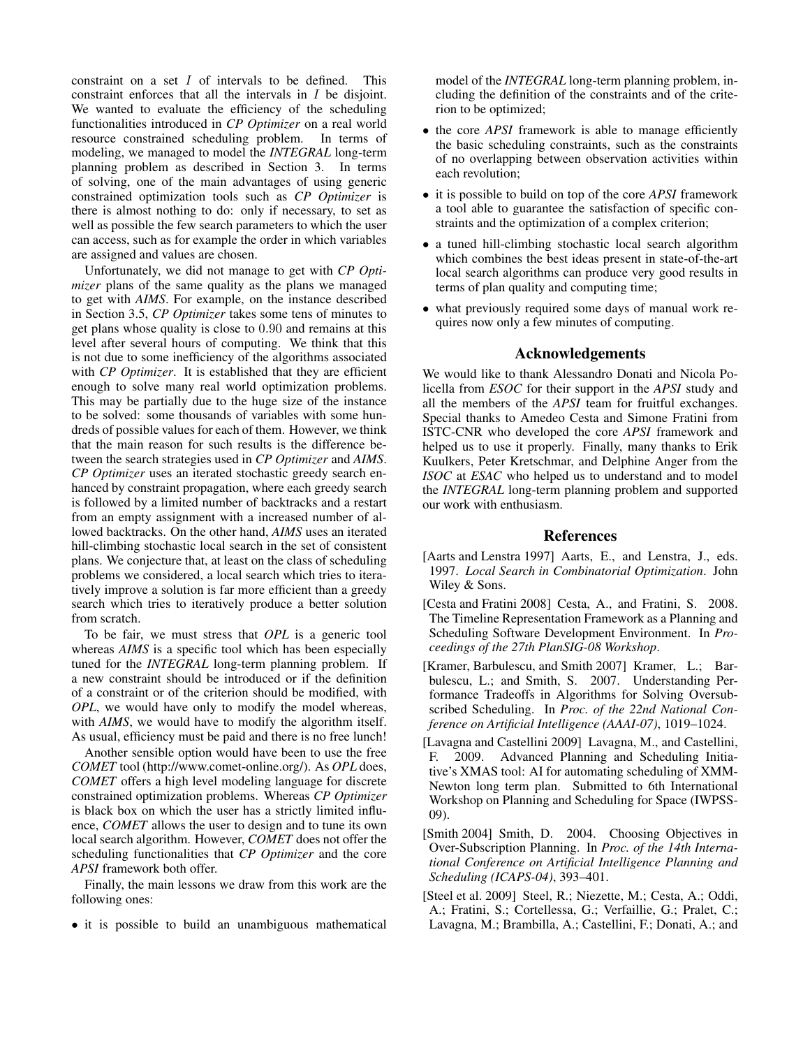constraint on a set I of intervals to be defined. This constraint enforces that all the intervals in I be disjoint. We wanted to evaluate the efficiency of the scheduling functionalities introduced in *CP Optimizer* on a real world resource constrained scheduling problem. In terms of modeling, we managed to model the *INTEGRAL* long-term planning problem as described in Section 3. In terms of solving, one of the main advantages of using generic constrained optimization tools such as *CP Optimizer* is there is almost nothing to do: only if necessary, to set as well as possible the few search parameters to which the user can access, such as for example the order in which variables are assigned and values are chosen.

Unfortunately, we did not manage to get with *CP Optimizer* plans of the same quality as the plans we managed to get with *AIMS*. For example, on the instance described in Section 3.5, *CP Optimizer* takes some tens of minutes to get plans whose quality is close to 0.90 and remains at this level after several hours of computing. We think that this is not due to some inefficiency of the algorithms associated with *CP Optimizer*. It is established that they are efficient enough to solve many real world optimization problems. This may be partially due to the huge size of the instance to be solved: some thousands of variables with some hundreds of possible values for each of them. However, we think that the main reason for such results is the difference between the search strategies used in *CP Optimizer* and *AIMS*. *CP Optimizer* uses an iterated stochastic greedy search enhanced by constraint propagation, where each greedy search is followed by a limited number of backtracks and a restart from an empty assignment with a increased number of allowed backtracks. On the other hand, *AIMS* uses an iterated hill-climbing stochastic local search in the set of consistent plans. We conjecture that, at least on the class of scheduling problems we considered, a local search which tries to iteratively improve a solution is far more efficient than a greedy search which tries to iteratively produce a better solution from scratch.

To be fair, we must stress that *OPL* is a generic tool whereas *AIMS* is a specific tool which has been especially tuned for the *INTEGRAL* long-term planning problem. If a new constraint should be introduced or if the definition of a constraint or of the criterion should be modified, with *OPL*, we would have only to modify the model whereas, with *AIMS*, we would have to modify the algorithm itself. As usual, efficiency must be paid and there is no free lunch!

Another sensible option would have been to use the free *COMET* tool (http://www.comet-online.org/). As *OPL* does, *COMET* offers a high level modeling language for discrete constrained optimization problems. Whereas *CP Optimizer* is black box on which the user has a strictly limited influence, *COMET* allows the user to design and to tune its own local search algorithm. However, *COMET* does not offer the scheduling functionalities that *CP Optimizer* and the core *APSI* framework both offer.

Finally, the main lessons we draw from this work are the following ones:

• it is possible to build an unambiguous mathematical

model of the *INTEGRAL* long-term planning problem, including the definition of the constraints and of the criterion to be optimized;

- the core *APSI* framework is able to manage efficiently the basic scheduling constraints, such as the constraints of no overlapping between observation activities within each revolution;
- it is possible to build on top of the core *APSI* framework a tool able to guarantee the satisfaction of specific constraints and the optimization of a complex criterion;
- a tuned hill-climbing stochastic local search algorithm which combines the best ideas present in state-of-the-art local search algorithms can produce very good results in terms of plan quality and computing time;
- what previously required some days of manual work requires now only a few minutes of computing.

## Acknowledgements

We would like to thank Alessandro Donati and Nicola Policella from *ESOC* for their support in the *APSI* study and all the members of the *APSI* team for fruitful exchanges. Special thanks to Amedeo Cesta and Simone Fratini from ISTC-CNR who developed the core *APSI* framework and helped us to use it properly. Finally, many thanks to Erik Kuulkers, Peter Kretschmar, and Delphine Anger from the *ISOC* at *ESAC* who helped us to understand and to model the *INTEGRAL* long-term planning problem and supported our work with enthusiasm.

## References

- <span id="page-7-4"></span>[Aarts and Lenstra 1997] Aarts, E., and Lenstra, J., eds. 1997. *Local Search in Combinatorial Optimization*. John Wiley & Sons.
- <span id="page-7-3"></span>[Cesta and Fratini 2008] Cesta, A., and Fratini, S. 2008. The Timeline Representation Framework as a Planning and Scheduling Software Development Environment. In *Proceedings of the 27th PlanSIG-08 Workshop*.
- <span id="page-7-2"></span>[Kramer, Barbulescu, and Smith 2007] Kramer, L.; Barbulescu, L.; and Smith, S. 2007. Understanding Performance Tradeoffs in Algorithms for Solving Oversubscribed Scheduling. In *Proc. of the 22nd National Conference on Artificial Intelligence (AAAI-07)*, 1019–1024.
- <span id="page-7-5"></span>[Lavagna and Castellini 2009] Lavagna, M., and Castellini, F. 2009. Advanced Planning and Scheduling Initiative's XMAS tool: AI for automating scheduling of XMM-Newton long term plan. Submitted to 6th International Workshop on Planning and Scheduling for Space (IWPSS-09).
- <span id="page-7-1"></span>[Smith 2004] Smith, D. 2004. Choosing Objectives in Over-Subscription Planning. In *Proc. of the 14th International Conference on Artificial Intelligence Planning and Scheduling (ICAPS-04)*, 393–401.
- <span id="page-7-0"></span>[Steel et al. 2009] Steel, R.; Niezette, M.; Cesta, A.; Oddi, A.; Fratini, S.; Cortellessa, G.; Verfaillie, G.; Pralet, C.; Lavagna, M.; Brambilla, A.; Castellini, F.; Donati, A.; and